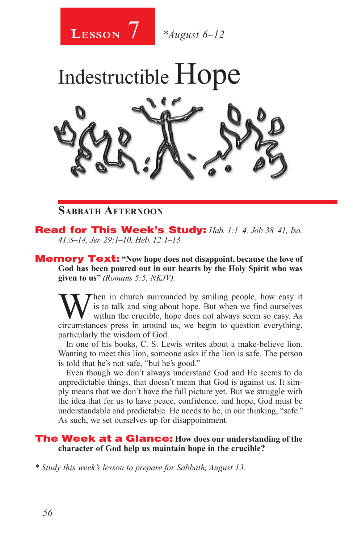

## **Sabbath Afternoon**

Read for This Week's Study: *Hab. 1:1–4, Job 38–41, Isa. 41:8–14, Jer. 29:1–10, Heb. 12:1–13.*

Memory Text: **"Now hope does not disappoint, because the love of God has been poured out in our hearts by the Holy Spirit who was given to us"** *(Romans 5:5, NKJV).* 

When in church surrounded by smiling people, how easy it is to talk and sing about hope. But when we find ourselves within the crucible, hope does not always seem so easy. As circumstances press in around us we begin to qu is to talk and sing about hope. But when we find ourselves circumstances press in around us, we begin to question everything, particularly the wisdom of God.

In one of his books, C. S. Lewis writes about a make-believe lion. Wanting to meet this lion, someone asks if the lion is safe. The person is told that he's not safe, "but he's good."

Even though we don't always understand God and He seems to do unpredictable things, that doesn't mean that God is against us. It simply means that we don't have the full picture yet. But we struggle with the idea that for us to have peace, confidence, and hope, God must be understandable and predictable. He needs to be, in our thinking, "safe." As such, we set ourselves up for disappointment.

### The Week at a Glance: **How does our understanding of the character of God help us maintain hope in the crucible?**

*\* Study this week's lesson to prepare for Sabbath, August 13.*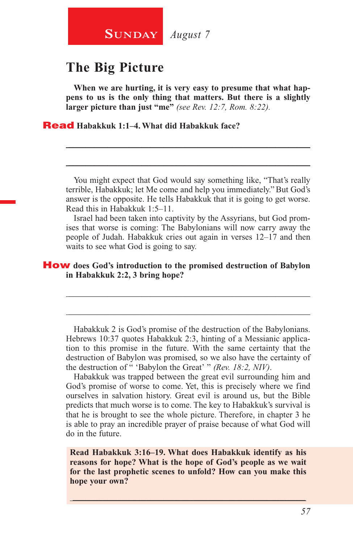

# **The Big Picture**

**When we are hurting, it is very easy to presume that what happens to us is the only thing that matters. But there is a slightly larger picture than just "me"** *(see Rev. 12:7, Rom. 8:22).*

\_\_\_\_\_\_\_\_\_\_\_\_\_\_\_\_\_\_\_\_\_\_\_\_\_\_\_\_\_\_\_\_\_\_\_\_\_\_\_\_\_\_\_\_\_\_\_\_\_\_\_\_\_\_\_\_

\_\_\_\_\_\_\_\_\_\_\_\_\_\_\_\_\_\_\_\_\_\_\_\_\_\_\_\_\_\_\_\_\_\_\_\_\_\_\_\_\_\_\_\_\_\_\_\_\_\_\_\_\_\_\_\_

Read **Habakkuk 1:1–4. What did Habakkuk face?**

You might expect that God would say something like, "That's really terrible, Habakkuk; let Me come and help you immediately." But God's answer is the opposite. He tells Habakkuk that it is going to get worse. Read this in Habakkuk 1:5–11.

Israel had been taken into captivity by the Assyrians, but God promises that worse is coming: The Babylonians will now carry away the people of Judah. Habakkuk cries out again in verses 12–17 and then waits to see what God is going to say.

### How **does God's introduction to the promised destruction of Babylon in Habakkuk 2:2, 3 bring hope?**

Habakkuk 2 is God's promise of the destruction of the Babylonians. Hebrews 10:37 quotes Habakkuk 2:3, hinting of a Messianic application to this promise in the future. With the same certainty that the destruction of Babylon was promised, so we also have the certainty of the destruction of " 'Babylon the Great' " *(Rev. 18:2, NIV)*.

\_\_\_\_\_\_\_\_\_\_\_\_\_\_\_\_\_\_\_\_\_\_\_\_\_\_\_\_\_\_\_\_\_\_\_\_\_\_\_\_\_\_\_\_\_\_\_\_\_\_\_\_\_\_\_\_

\_\_\_\_\_\_\_\_\_\_\_\_\_\_\_\_\_\_\_\_\_\_\_\_\_\_\_\_\_\_\_\_\_\_\_\_\_\_\_\_\_\_\_\_\_\_\_\_\_\_\_\_\_\_\_\_

Habakkuk was trapped between the great evil surrounding him and God's promise of worse to come. Yet, this is precisely where we find ourselves in salvation history. Great evil is around us, but the Bible predicts that much worse is to come. The key to Habakkuk's survival is that he is brought to see the whole picture. Therefore, in chapter 3 he is able to pray an incredible prayer of praise because of what God will do in the future.

**Read Habakkuk 3:16–19. What does Habakkuk identify as his reasons for hope? What is the hope of God's people as we wait for the last prophetic scenes to unfold? How can you make this hope your own?**

\_\_\_\_\_\_\_\_\_\_\_\_\_\_\_\_\_\_\_\_\_\_\_\_\_\_\_\_\_\_\_\_\_\_\_\_\_\_\_\_\_\_\_\_\_\_\_\_\_\_\_\_\_\_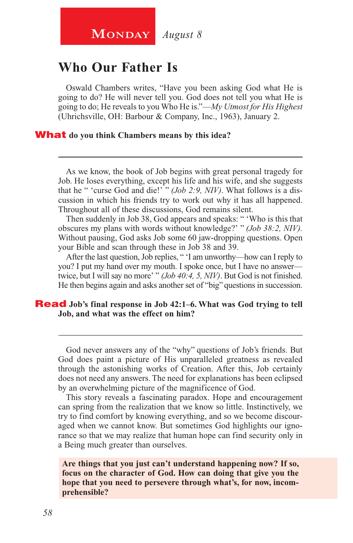# **Who Our Father Is**

Oswald Chambers writes, "Have you been asking God what He is going to do? He will never tell you. God does not tell you what He is going to do; He reveals to you Who He is."—*My Utmost for His Highest* (Uhrichsville, OH: Barbour & Company, Inc., 1963), January 2.

### What **do you think Chambers means by this idea?**

As we know, the book of Job begins with great personal tragedy for Job. He loses everything, except his life and his wife, and she suggests that he " 'curse God and die!' " *(Job 2:9, NIV)*. What follows is a discussion in which his friends try to work out why it has all happened. Throughout all of these discussions, God remains silent.

\_\_\_\_\_\_\_\_\_\_\_\_\_\_\_\_\_\_\_\_\_\_\_\_\_\_\_\_\_\_\_\_\_\_\_\_\_\_\_\_\_\_\_\_\_\_\_\_\_\_\_\_\_\_\_\_

Then suddenly in Job 38, God appears and speaks: " 'Who is this that obscures my plans with words without knowledge?' " *(Job 38:2, NIV).* Without pausing, God asks Job some 60 jaw-dropping questions. Open your Bible and scan through these in Job 38 and 39.

After the last question, Job replies, " 'I am unworthy—how can I reply to you? I put my hand over my mouth. I spoke once, but I have no answer twice, but I will say no more' " *(Job 40:4, 5, NIV)*. But God is not finished. He then begins again and asks another set of "big" questions in succession.

### **Read** Job's final response in Job 42:1–6. What was God trying to tell **Job, and what was the effect on him?**

God never answers any of the "why" questions of Job's friends. But God does paint a picture of His unparalleled greatness as revealed through the astonishing works of Creation. After this, Job certainly does not need any answers. The need for explanations has been eclipsed by an overwhelming picture of the magnificence of God.

\_\_\_\_\_\_\_\_\_\_\_\_\_\_\_\_\_\_\_\_\_\_\_\_\_\_\_\_\_\_\_\_\_\_\_\_\_\_\_\_\_\_\_\_\_\_\_\_\_\_\_\_\_\_\_\_

This story reveals a fascinating paradox. Hope and encouragement can spring from the realization that we know so little. Instinctively, we try to find comfort by knowing everything, and so we become discouraged when we cannot know. But sometimes God highlights our ignorance so that we may realize that human hope can find security only in a Being much greater than ourselves.

**Are things that you just can't understand happening now? If so, focus on the character of God. How can doing that give you the hope that you need to persevere through what's, for now, incomprehensible?**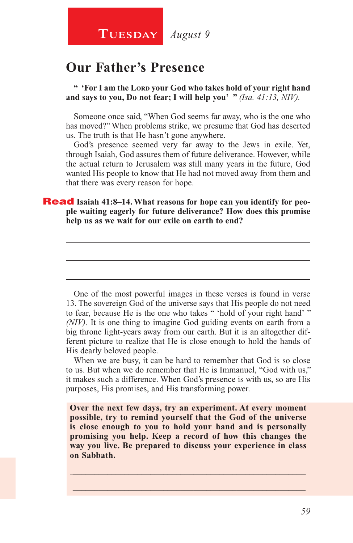# **Our Father's Presence**

**" 'For I am the Lord your God who takes hold of your right hand and says to you, Do not fear; I will help you' "** *(Isa. 41:13, NIV).*

Someone once said, "When God seems far away, who is the one who has moved?" When problems strike, we presume that God has deserted us. The truth is that He hasn't gone anywhere.

God's presence seemed very far away to the Jews in exile. Yet, through Isaiah, God assures them of future deliverance. However, while the actual return to Jerusalem was still many years in the future, God wanted His people to know that He had not moved away from them and that there was every reason for hope.

\_\_\_\_\_\_\_\_\_\_\_\_\_\_\_\_\_\_\_\_\_\_\_\_\_\_\_\_\_\_\_\_\_\_\_\_\_\_\_\_\_\_\_\_\_\_\_\_\_\_\_\_\_\_\_\_

\_\_\_\_\_\_\_\_\_\_\_\_\_\_\_\_\_\_\_\_\_\_\_\_\_\_\_\_\_\_\_\_\_\_\_\_\_\_\_\_\_\_\_\_\_\_\_\_\_\_\_\_\_\_\_\_

\_\_\_\_\_\_\_\_\_\_\_\_\_\_\_\_\_\_\_\_\_\_\_\_\_\_\_\_\_\_\_\_\_\_\_\_\_\_\_\_\_\_\_\_\_\_\_\_\_\_\_\_\_\_\_\_

### **Read** Isaiah 41:8-14. What reasons for hope can you identify for peo**ple waiting eagerly for future deliverance? How does this promise help us as we wait for our exile on earth to end?**

One of the most powerful images in these verses is found in verse 13. The sovereign God of the universe says that His people do not need to fear, because He is the one who takes " 'hold of your right hand' " *(NIV).* It is one thing to imagine God guiding events on earth from a big throne light-years away from our earth. But it is an altogether different picture to realize that He is close enough to hold the hands of His dearly beloved people.

When we are busy, it can be hard to remember that God is so close to us. But when we do remember that He is Immanuel, "God with us," it makes such a difference. When God's presence is with us, so are His purposes, His promises, and His transforming power.

**Over the next few days, try an experiment. At every moment possible, try to remind yourself that the God of the universe is close enough to you to hold your hand and is personally promising you help. Keep a record of how this changes the way you live. Be prepared to discuss your experience in class on Sabbath.**

\_\_\_\_\_\_\_\_\_\_\_\_\_\_\_\_\_\_\_\_\_\_\_\_\_\_\_\_\_\_\_\_\_\_\_\_\_\_\_\_\_\_\_\_\_\_\_\_\_\_\_\_\_\_ \_\_\_\_\_\_\_\_\_\_\_\_\_\_\_\_\_\_\_\_\_\_\_\_\_\_\_\_\_\_\_\_\_\_\_\_\_\_\_\_\_\_\_\_\_\_\_\_\_\_\_\_\_\_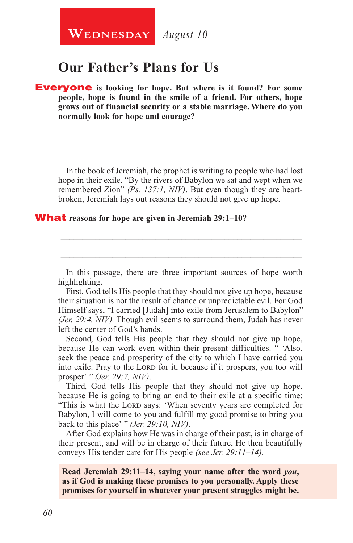# **Our Father's Plans for Us**

Everyone **is looking for hope. But where is it found? For some people, hope is found in the smile of a friend. For others, hope grows out of financial security or a stable marriage. Where do you normally look for hope and courage?**

In the book of Jeremiah, the prophet is writing to people who had lost hope in their exile. "By the rivers of Babylon we sat and wept when we remembered Zion" *(Ps. 137:1, NIV)*. But even though they are heartbroken, Jeremiah lays out reasons they should not give up hope.

\_\_\_\_\_\_\_\_\_\_\_\_\_\_\_\_\_\_\_\_\_\_\_\_\_\_\_\_\_\_\_\_\_\_\_\_\_\_\_\_\_\_\_\_\_\_\_\_\_\_\_\_\_\_\_\_

\_\_\_\_\_\_\_\_\_\_\_\_\_\_\_\_\_\_\_\_\_\_\_\_\_\_\_\_\_\_\_\_\_\_\_\_\_\_\_\_\_\_\_\_\_\_\_\_\_\_\_\_\_\_\_\_

### What **reasons for hope are given in Jeremiah 29:1–10?**

In this passage, there are three important sources of hope worth highlighting.

\_\_\_\_\_\_\_\_\_\_\_\_\_\_\_\_\_\_\_\_\_\_\_\_\_\_\_\_\_\_\_\_\_\_\_\_\_\_\_\_\_\_\_\_\_\_\_\_\_\_\_\_\_\_\_\_

\_\_\_\_\_\_\_\_\_\_\_\_\_\_\_\_\_\_\_\_\_\_\_\_\_\_\_\_\_\_\_\_\_\_\_\_\_\_\_\_\_\_\_\_\_\_\_\_\_\_\_\_\_\_\_\_

First, God tells His people that they should not give up hope, because their situation is not the result of chance or unpredictable evil. For God Himself says, "I carried [Judah] into exile from Jerusalem to Babylon" *(Jer. 29:4, NIV).* Though evil seems to surround them, Judah has never left the center of God's hands.

Second, God tells His people that they should not give up hope, because He can work even within their present difficulties. " 'Also, seek the peace and prosperity of the city to which I have carried you into exile. Pray to the LORD for it, because if it prospers, you too will prosper' " *(Jer. 29:7, NIV)*.

Third, God tells His people that they should not give up hope, because He is going to bring an end to their exile at a specific time: "This is what the LORD says: 'When seventy years are completed for Babylon, I will come to you and fulfill my good promise to bring you back to this place' " *(Jer. 29:10, NIV)*.

After God explains how He was in charge of their past, is in charge of their present, and will be in charge of their future, He then beautifully conveys His tender care for His people *(see Jer. 29:11–14).*

**Read Jeremiah 29:11–14, saying your name after the word** *you***, as if God is making these promises to you personally. Apply these promises for yourself in whatever your present struggles might be.**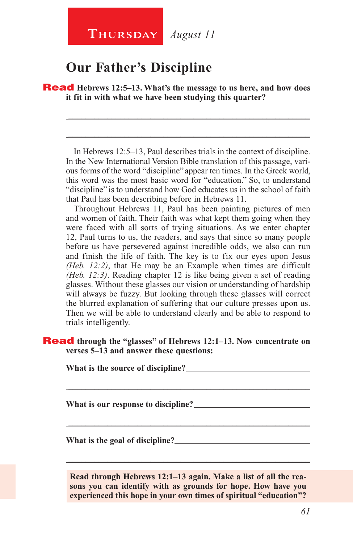# **Our Father's Discipline**

Read **Hebrews 12:5–13. What's the message to us here, and how does it fit in with what we have been studying this quarter?**

In Hebrews 12:5–13, Paul describes trials in the context of discipline. In the New International Version Bible translation of this passage, various forms of the word "discipline" appear ten times. In the Greek world, this word was the most basic word for "education." So, to understand "discipline" is to understand how God educates us in the school of faith that Paul has been describing before in Hebrews 11.

\_\_\_\_\_\_\_\_\_\_\_\_\_\_\_\_\_\_\_\_\_\_\_\_\_\_\_\_\_\_\_\_\_\_\_\_\_\_\_\_\_\_\_\_\_\_\_\_\_\_\_\_\_\_\_\_

\_\_\_\_\_\_\_\_\_\_\_\_\_\_\_\_\_\_\_\_\_\_\_\_\_\_\_\_\_\_\_\_\_\_\_\_\_\_\_\_\_\_\_\_\_\_\_\_\_\_\_\_\_\_\_\_

Throughout Hebrews 11, Paul has been painting pictures of men and women of faith. Their faith was what kept them going when they were faced with all sorts of trying situations. As we enter chapter 12, Paul turns to us, the readers, and says that since so many people before us have persevered against incredible odds, we also can run and finish the life of faith. The key is to fix our eyes upon Jesus *(Heb. 12:2)*, that He may be an Example when times are difficult *(Heb. 12:3)*. Reading chapter 12 is like being given a set of reading glasses. Without these glasses our vision or understanding of hardship will always be fuzzy. But looking through these glasses will correct the blurred explanation of suffering that our culture presses upon us. Then we will be able to understand clearly and be able to respond to trials intelligently.

### Read **through the "glasses" of Hebrews 12:1–13. Now concentrate on verses 5–13 and answer these questions:**

\_\_\_\_\_\_\_\_\_\_\_\_\_\_\_\_\_\_\_\_\_\_\_\_\_\_\_\_\_\_\_\_\_\_\_\_\_\_\_\_\_\_\_\_\_\_\_\_\_\_\_\_\_\_\_\_

\_\_\_\_\_\_\_\_\_\_\_\_\_\_\_\_\_\_\_\_\_\_\_\_\_\_\_\_\_\_\_\_\_\_\_\_\_\_\_\_\_\_\_\_\_\_\_\_\_\_\_\_\_\_\_\_

**What is the source of discipline?** 

**What is our response to discipline?** 

**What is the goal of discipline?** 

**Read through Hebrews 12:1–13 again. Make a list of all the reasons you can identify with as grounds for hope. How have you experienced this hope in your own times of spiritual "education"?**

\_\_\_\_\_\_\_\_\_\_\_\_\_\_\_\_\_\_\_\_\_\_\_\_\_\_\_\_\_\_\_\_\_\_\_\_\_\_\_\_\_\_\_\_\_\_\_\_\_\_\_\_\_\_\_\_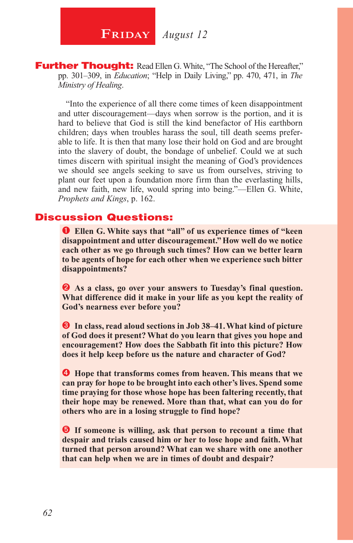**Further Thought:** Read Ellen G. White, "The School of the Hereafter," pp. 301–309, in *Education*; "Help in Daily Living," pp. 470, 471, in *The Ministry of Healing*.

"Into the experience of all there come times of keen disappointment and utter discouragement—days when sorrow is the portion, and it is hard to believe that God is still the kind benefactor of His earthborn children; days when troubles harass the soul, till death seems preferable to life. It is then that many lose their hold on God and are brought into the slavery of doubt, the bondage of unbelief. Could we at such times discern with spiritual insight the meaning of God's providences we should see angels seeking to save us from ourselves, striving to plant our feet upon a foundation more firm than the everlasting hills, and new faith, new life, would spring into being."—Ellen G. White, *Prophets and Kings*, p. 162.

### Discussion Questions:

 **Ellen G. White says that "all" of us experience times of "keen disappointment and utter discouragement." How well do we notice each other as we go through such times? How can we better learn to be agents of hope for each other when we experience such bitter disappointments?**

**2** As a class, go over your answers to Tuesday's final question. **What difference did it make in your life as you kept the reality of God's nearness ever before you?**

 **In class, read aloud sections in Job 38–41. What kind of picture of God does it present? What do you learn that gives you hope and encouragement? How does the Sabbath fit into this picture? How does it help keep before us the nature and character of God?**

 **Hope that transforms comes from heaven. This means that we can pray for hope to be brought into each other's lives. Spend some time praying for those whose hope has been faltering recently, that their hope may be renewed. More than that, what can you do for others who are in a losing struggle to find hope?**

**If someone is willing, ask that person to recount a time that despair and trials caused him or her to lose hope and faith. What turned that person around? What can we share with one another that can help when we are in times of doubt and despair?**